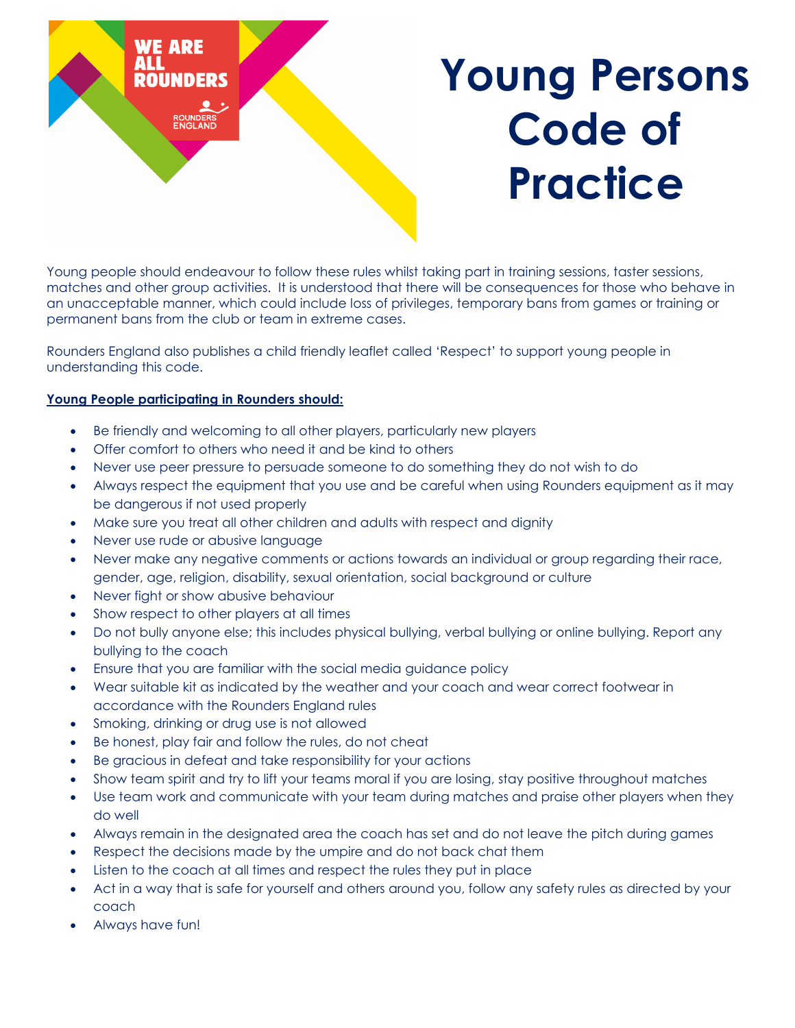

Young people should endeavour to follow these rules whilst taking part in training sessions, taster sessions, matches and other group activities. It is understood that there will be consequences for those who behave in an unacceptable manner, which could include loss of privileges, temporary bans from games or training or permanent bans from the club or team in extreme cases.

Rounders England also publishes a child friendly leaflet called 'Respect' to support young people in understanding this code.

## **Young People participating in Rounders should:**

- Be friendly and welcoming to all other players, particularly new players
- Offer comfort to others who need it and be kind to others
- Never use peer pressure to persuade someone to do something they do not wish to do
- Always respect the equipment that you use and be careful when using Rounders equipment as it may be dangerous if not used properly
- Make sure you treat all other children and adults with respect and dignity
- Never use rude or abusive language
- Never make any negative comments or actions towards an individual or group regarding their race, gender, age, religion, disability, sexual orientation, social background or culture
- Never fight or show abusive behaviour
- Show respect to other players at all times
- Do not bully anyone else; this includes physical bullying, verbal bullying or online bullying. Report any bullying to the coach
- Ensure that you are familiar with the social media guidance policy
- Wear suitable kit as indicated by the weather and your coach and wear correct footwear in accordance with the Rounders England rules
- Smoking, drinking or drug use is not allowed
- Be honest, play fair and follow the rules, do not cheat
- Be gracious in defeat and take responsibility for your actions
- Show team spirit and try to lift your teams moral if you are losing, stay positive throughout matches
- Use team work and communicate with your team during matches and praise other players when they do well
- Always remain in the designated area the coach has set and do not leave the pitch during games
- Respect the decisions made by the umpire and do not back chat them
- Listen to the coach at all times and respect the rules they put in place
- Act in a way that is safe for yourself and others around you, follow any safety rules as directed by your coach
- Always have fun!